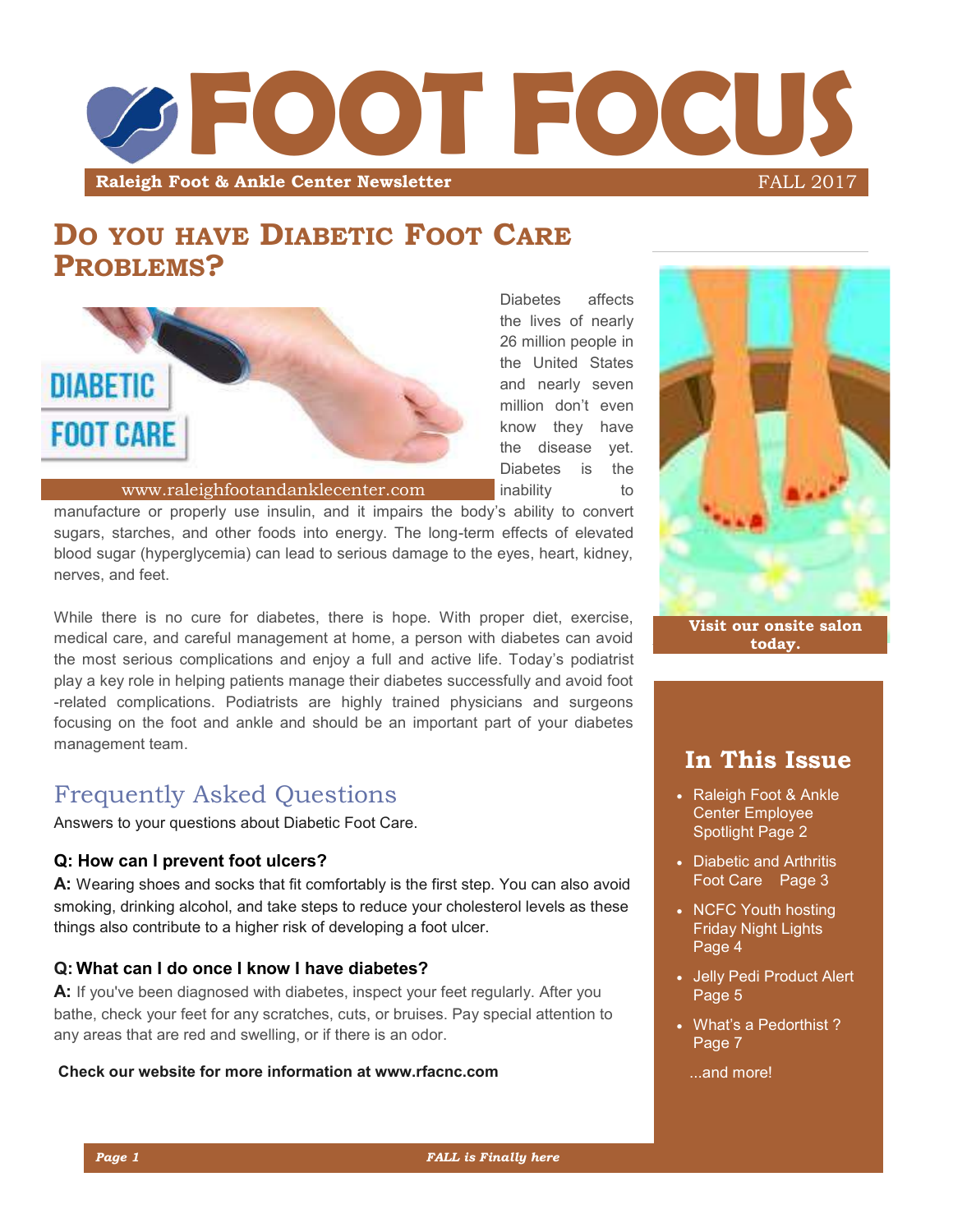

# **DO YOU HAVE DIABETIC FOOT CARE PROBLEMS?**



Diabetes affects the lives of nearly 26 million people in the United States and nearly seven million don't even know they have the disease yet. Diabetes is the **inability** to

www.raleighfootandanklecenter.com

manufacture or properly use insulin, and it impairs the body's ability to convert sugars, starches, and other foods into energy. The long-term effects of elevated blood sugar (hyperglycemia) can lead to serious damage to the eyes, heart, kidney, nerves, and feet.

While there is no cure for diabetes, there is hope. With proper diet, exercise, medical care, and careful management at home, a person with diabetes can avoid the most serious complications and enjoy a full and active life. Today's podiatrist play a key role in helping patients manage their diabetes successfully and avoid foot -related complications. Podiatrists are highly trained physicians and surgeons focusing on the foot and ankle and should be an important part of your diabetes management team.

## Frequently Asked Questions

Answers to your questions about Diabetic Foot Care.

#### **Q: How can I prevent foot ulcers?**

**A:** Wearing shoes and socks that fit comfortably is the first step. You can also avoid smoking, drinking alcohol, and take steps to reduce your cholesterol levels as these things also contribute to a higher risk of developing a foot ulcer.

#### **Q: What can I do once I know I have diabetes?**

**A:** If you've been diagnosed with diabetes, inspect your feet regularly. After you bathe, check your feet for any scratches, cuts, or bruises. Pay special attention to any areas that are red and swelling, or if there is an odor.

#### **Check our website for more information at www.rfacnc.com**



### **In This Issue**

- Raleigh Foot & Ankle Center Employee Spotlight Page 2
- Diabetic and Arthritis Foot Care Page 3
- NCFC Youth hosting Friday Night Lights Page 4
- Jelly Pedi Product Alert Page 5
- What's a Pedorthist ? Page 7
	- ...and more!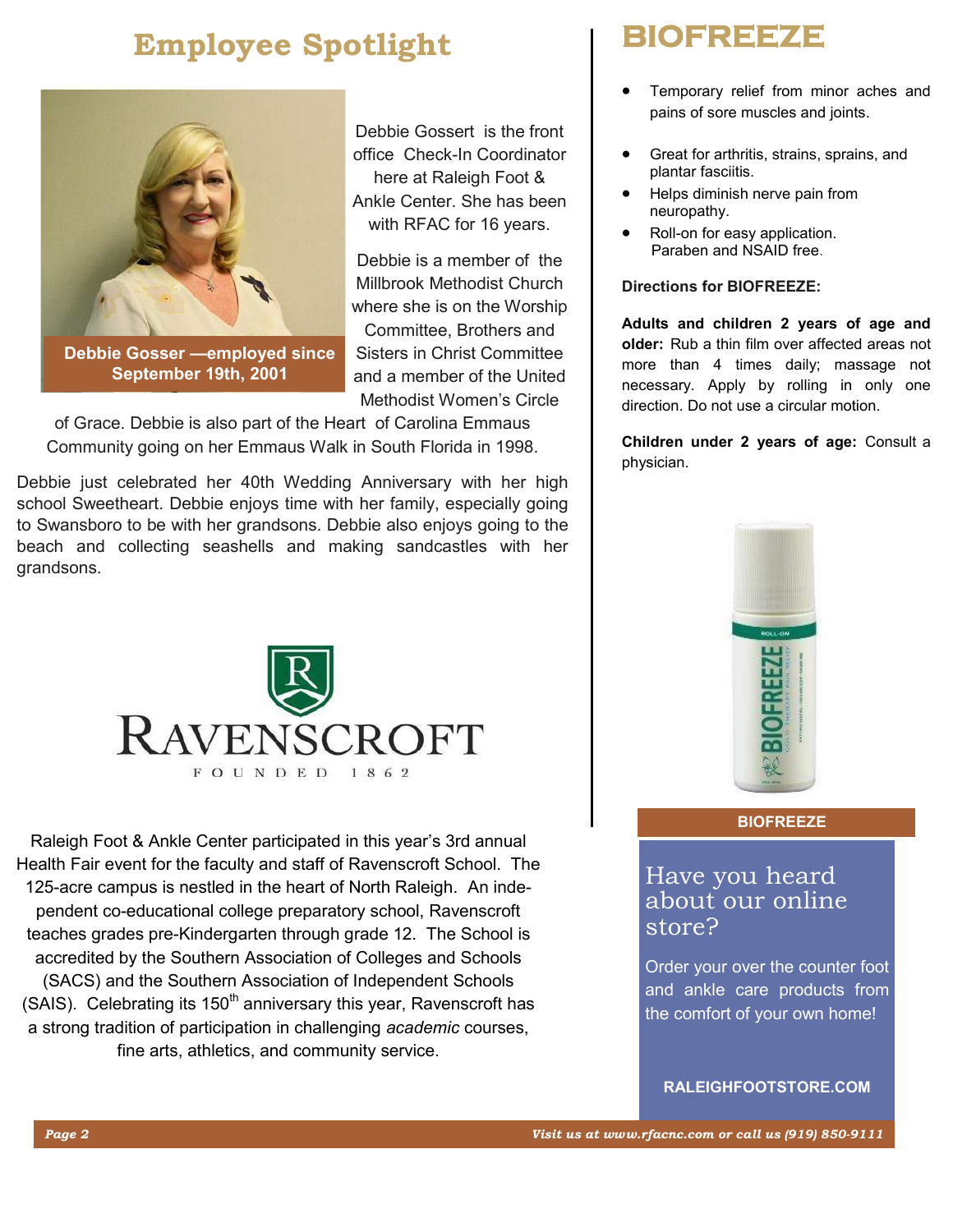# **Employee Spotlight**



**Debbie Gosser —employed since September 19th, 2001**

Debbie Gossert is the front office Check-In Coordinator here at Raleigh Foot & Ankle Center. She has been with RFAC for 16 years.

Debbie is a member of the Millbrook Methodist Church where she is on the Worship Committee, Brothers and Sisters in Christ Committee and a member of the United Methodist Women's Circle

of Grace. Debbie is also part of the Heart of Carolina Emmaus Community going on her Emmaus Walk in South Florida in 1998.

Debbie just celebrated her 40th Wedding Anniversary with her high school Sweetheart. Debbie enjoys time with her family, especially going to Swansboro to be with her grandsons. Debbie also enjoys going to the beach and collecting seashells and making sandcastles with her grandsons.



Raleigh Foot & Ankle Center participated in this year's 3rd annual Health Fair event for the faculty and staff of Ravenscroft School. The 125-acre campus is nestled in the heart of North Raleigh. An independent co-educational college preparatory school, Ravenscroft teaches grades pre-Kindergarten through grade 12. The School is accredited by the Southern Association of Colleges and Schools (SACS) and the Southern Association of Independent Schools (SAIS). Celebrating its  $150<sup>th</sup>$  anniversary this year, Ravenscroft has a strong tradition of participation in challenging *academic* courses, fine arts, athletics, and community service.

# **BIOFREEZE**

- Temporary relief from minor aches and pains of sore muscles and joints.
- Great for arthritis, strains, sprains, and plantar fasciitis.
- Helps diminish nerve pain from neuropathy.
- Roll-on for easy application. Paraben and NSAID free.

#### **Directions for BIOFREEZE:**

**Adults and children 2 years of age and older:** Rub a thin film over affected areas not more than 4 times daily; massage not necessary. Apply by rolling in only one direction. Do not use a circular motion.

**Children under 2 years of age:** Consult a physician.



#### **BIOFREEZE**

### Have you heard about our online store?

Order your over the counter foot and ankle care products from the comfort of your own home!

**RALEIGHFOOTSTORE.COM**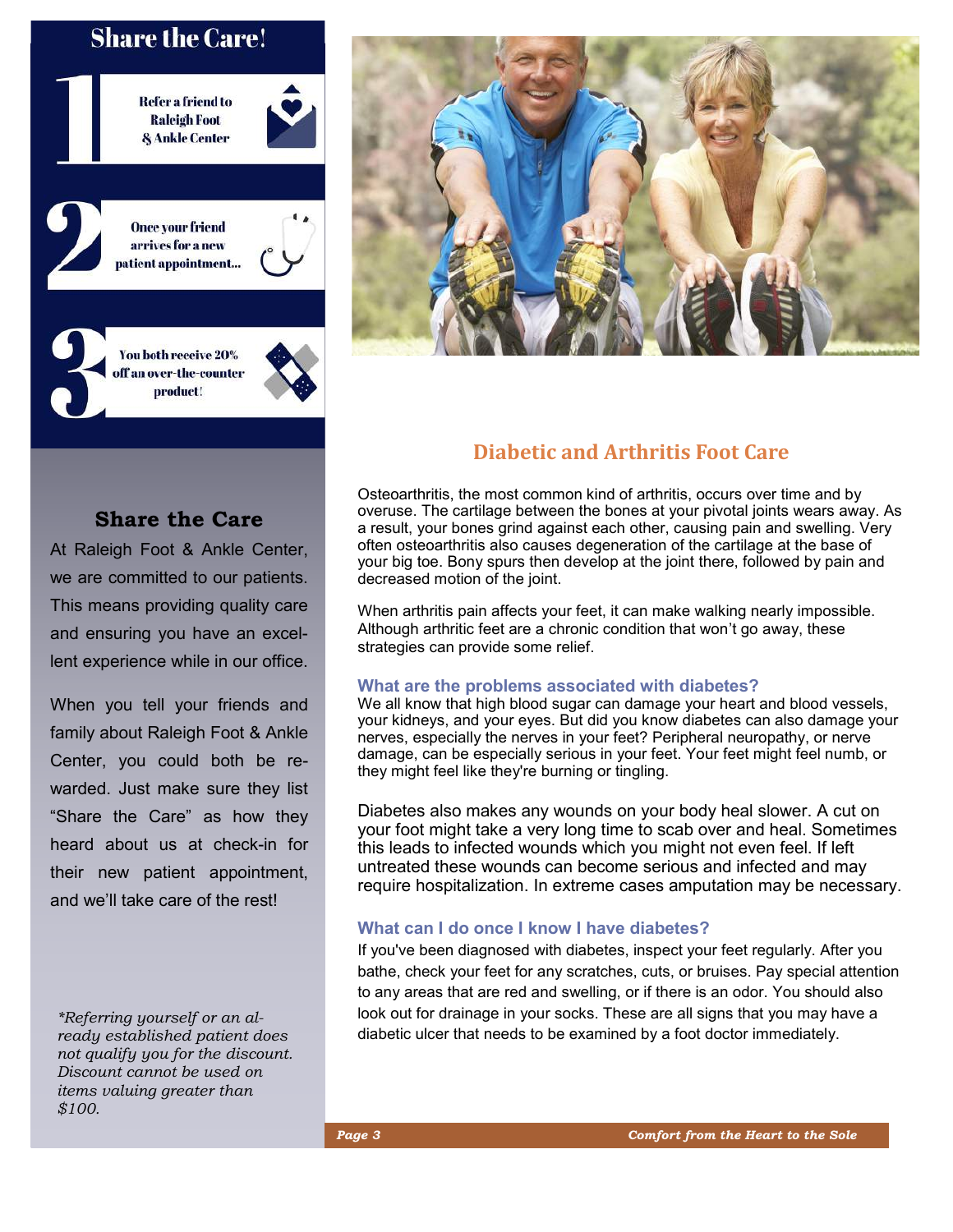### **Share the Care!**

**\*Referring yourself or an already established** 

**Discount cannot** be used on its value of  $\bullet$ **greater than \$100.**



**Once your friend** arrives for a new patient appointment...

You both receive 20% off an over-the-counter product!



#### **Share the Care**

At Raleigh Foot & Ankle Center, we are committed to our patients. This means providing quality care and ensuring you have an excellent experience while in our office.

When you tell your friends and family about Raleigh Foot & Ankle Center, you could both be rewarded. Just make sure they list "Share the Care" as how they heard about us at check-in for their new patient appointment, and we'll take care of the rest!

*\*Referring yourself or an already established patient does not qualify you for the discount. Discount cannot be used on items valuing greater than \$100.*



#### **Diabetic and Arthritis Foot Care**

Osteoarthritis, the most common kind of arthritis, occurs over time and by overuse. The cartilage between the bones at your pivotal joints wears away. As a result, your bones grind against each other, causing pain and swelling. Very often osteoarthritis also causes degeneration of the cartilage at the base of your big toe. Bony spurs then develop at the joint there, followed by pain and decreased motion of the joint.

When arthritis pain affects your feet, it can make walking nearly impossible. Although arthritic feet are a chronic condition that won't go away, these strategies can provide some relief.

#### **What are the problems associated with diabetes?**

We all know that high blood sugar can damage your heart and blood vessels, your kidneys, and your eyes. But did you know diabetes can also damage your nerves, especially the nerves in your feet? Peripheral neuropathy, or nerve damage, can be especially serious in your feet. Your feet might feel numb, or they might feel like they're burning or tingling.

Diabetes also makes any wounds on your body heal slower. A cut on your foot might take a very long time to scab over and heal. Sometimes this leads to infected wounds which you might not even feel. If left untreated these wounds can become serious and infected and may require hospitalization. In extreme cases amputation may be necessary.

#### **What can I do once I know I have diabetes?**

If you've been diagnosed with diabetes, inspect your feet regularly. After you bathe, check your feet for any scratches, cuts, or bruises. Pay special attention to any areas that are red and swelling, or if there is an odor. You should also look out for drainage in your socks. These are all signs that you may have a diabetic ulcer that needs to be examined by a foot doctor immediately.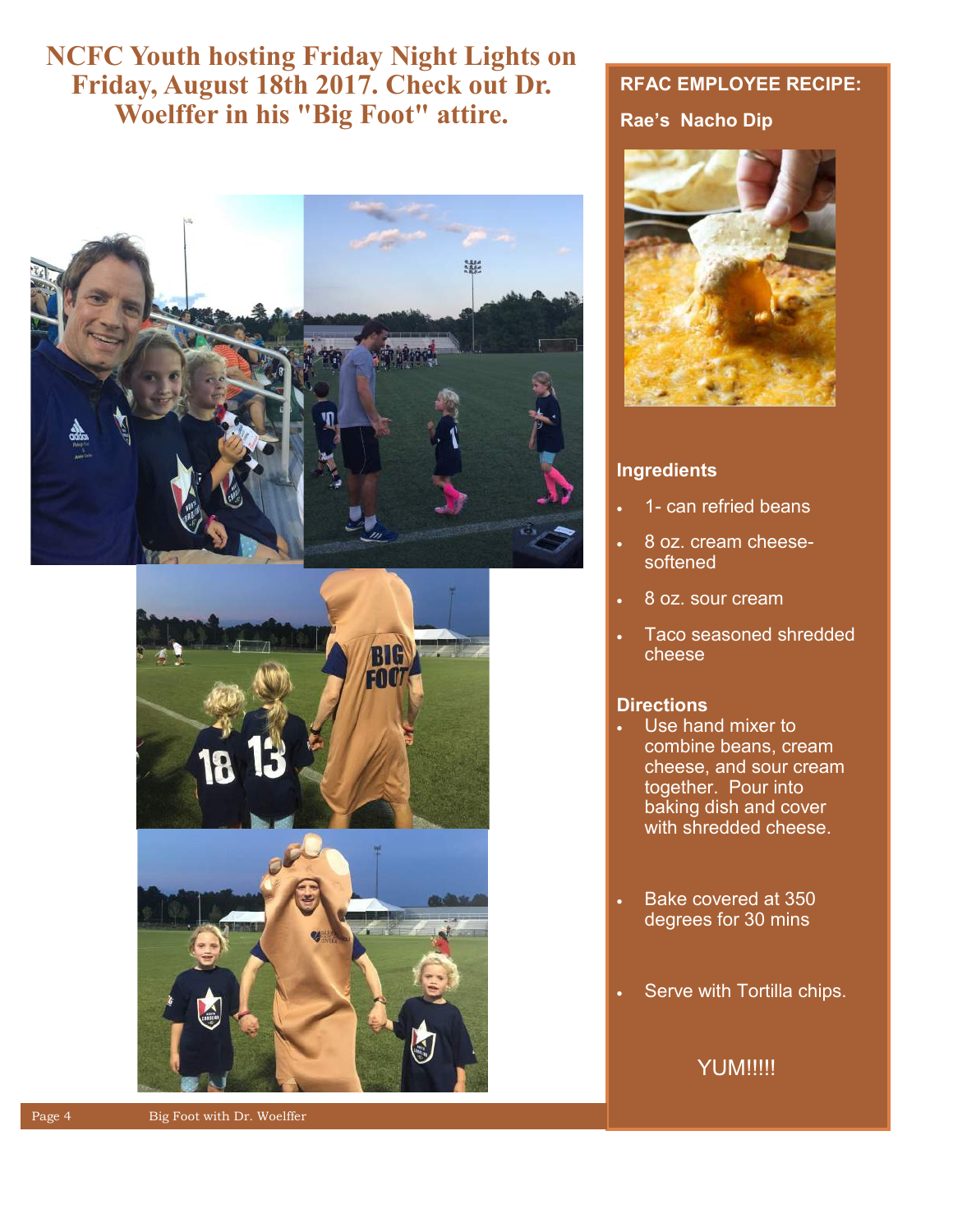# **NCFC Youth hosting Friday Night Lights on Friday, August 18th 2017. Check out Dr. Woelffer in his "Big Foot" attire.**







#### **RFAC EMPLOYEE RECIPE:**

#### **Rae's Nacho Dip**



#### **Ingredients**

- 1- can refried beans
- 8 oz. cream cheesesoftened
- 8 oz. sour cream
- Taco seasoned shredded cheese

#### **Directions**

- Use hand mixer to combine beans, cream cheese, and sour cream together. Pour into baking dish and cover with shredded cheese.
- Bake covered at 350 degrees for 30 mins
- Serve with Tortilla chips.

#### **YUM!!!!!**

Page 4 Big Foot with Dr. Woelffer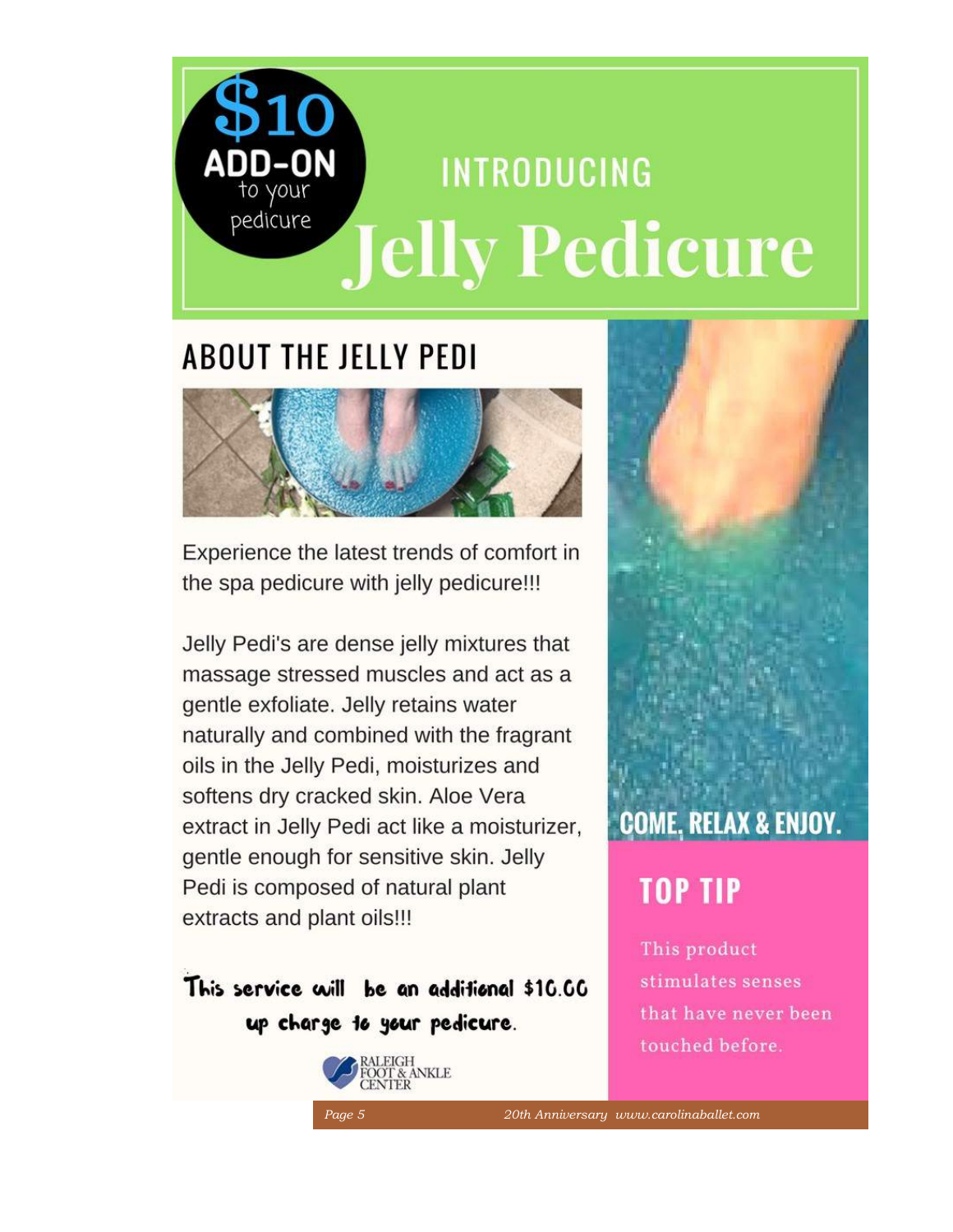# **ADD-ON INTRODUCING** pedicure **Jelly Pedicure**

# **ABOUT THE JELLY PEDI**



Experience the latest trends of comfort in the spa pedicure with jelly pedicure!!!

Jelly Pedi's are dense jelly mixtures that massage stressed muscles and act as a gentle exfoliate. Jelly retains water naturally and combined with the fragrant oils in the Jelly Pedi, moisturizes and softens dry cracked skin. Aloe Vera extract in Jelly Pedi act like a moisturizer, gentle enough for sensitive skin. Jelly Pedi is composed of natural plant extracts and plant oils!!!

# This service will be an additional \$10.00 up charge to your pedicure.





# **TOP TIP**

This product stimulates senses that have never been touched before.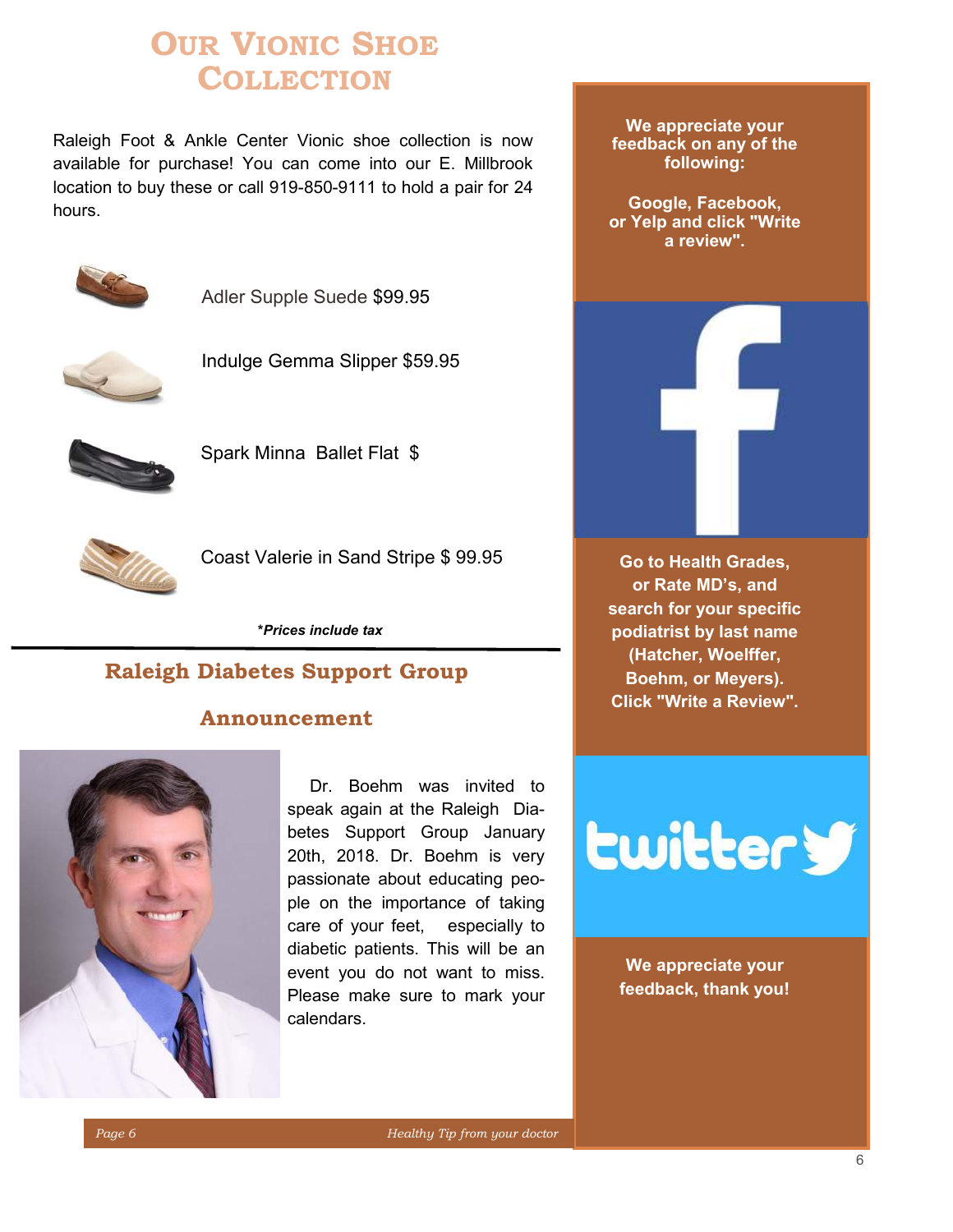# **OUR VIONIC SHOE COLLECTION**

Raleigh Foot & Ankle Center Vionic shoe collection is now available for purchase! You can come into our E. Millbrook location to buy these or call 919-850-9111 to hold a pair for 24 hours.



Adler Supple Suede \$99.95



Indulge Gemma Slipper \$59.95



Spark Minna Ballet Flat \$



Coast Valerie in Sand Stripe \$ 99.95

**\****Prices include tax*

### **Raleigh Diabetes Support Group**

#### **Announcement**



Dr. Boehm was invited to speak again at the Raleigh Diabetes Support Group January 20th, 2018. Dr. Boehm is very passionate about educating people on the importance of taking care of your feet, especially to diabetic patients. This will be an event you do not want to miss. Please make sure to mark your calendars.

**We appreciate your feedback on any of the following:**

**Google, Facebook, or Yelp and click "Write a review".**



**Lwitter y** 

**We appreciate your feedback, thank you!**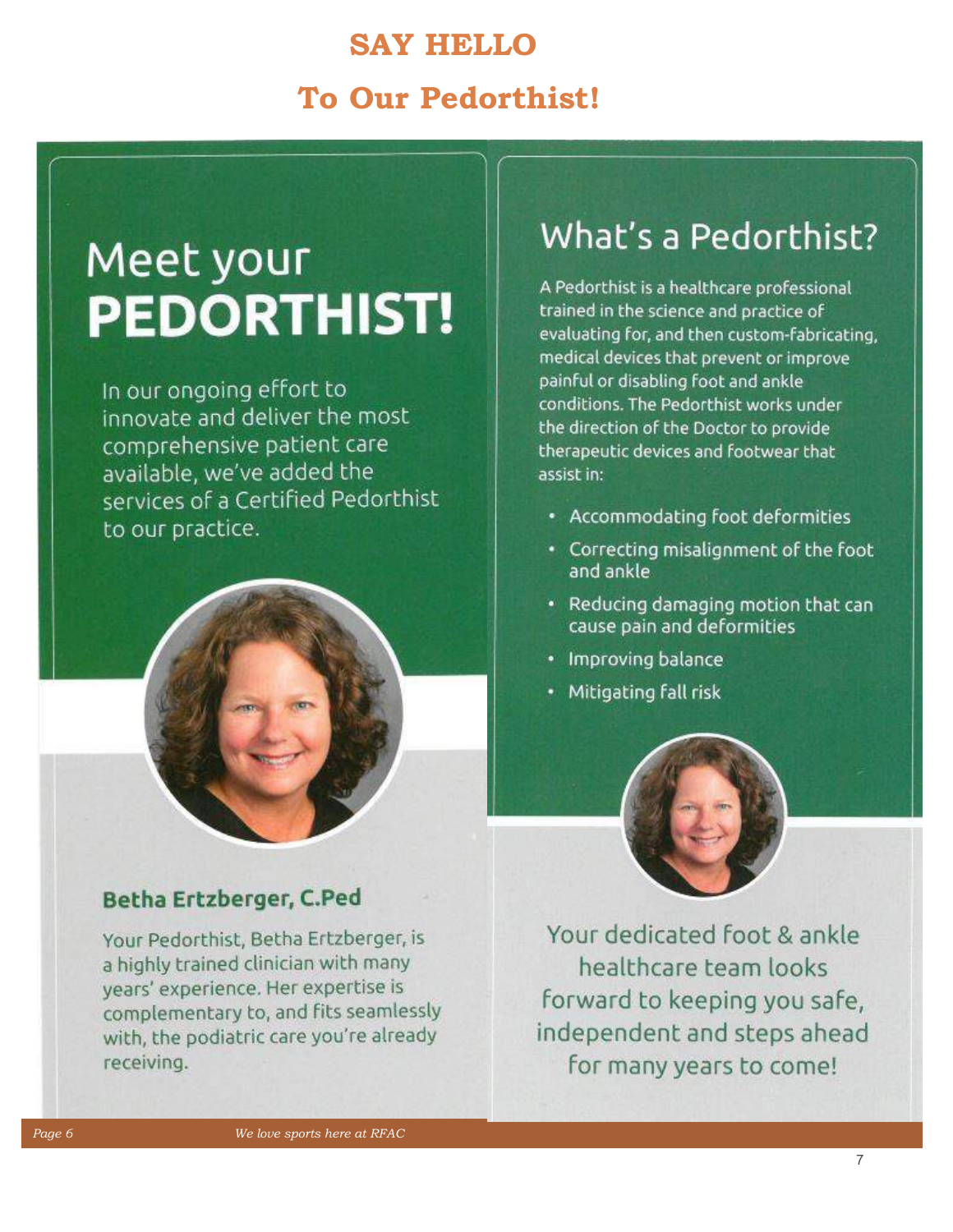# **SAY HELLO To Our Pedorthist!**

# Meet your **PEDORTHIST!**

In our ongoing effort to innovate and deliver the most comprehensive patient care available, we've added the services of a Certified Pedorthist to our practice.

## Betha Ertzberger, C.Ped

Your Pedorthist, Betha Ertzberger, is a highly trained clinician with many years' experience. Her expertise is complementary to, and fits seamlessly with, the podiatric care you're already receiving.

# What's a Pedorthist?

A Pedorthist is a healthcare professional trained in the science and practice of evaluating for, and then custom-fabricating, medical devices that prevent or improve painful or disabling foot and ankle conditions. The Pedorthist works under the direction of the Doctor to provide therapeutic devices and footwear that assist in:

- Accommodating foot deformities
- Correcting misalignment of the foot and ankle
- Reducing damaging motion that can cause pain and deformities
- Improving balance
- Mitigating fall risk



Your dedicated foot & ankle healthcare team looks forward to keeping you safe, independent and steps ahead for many years to come!